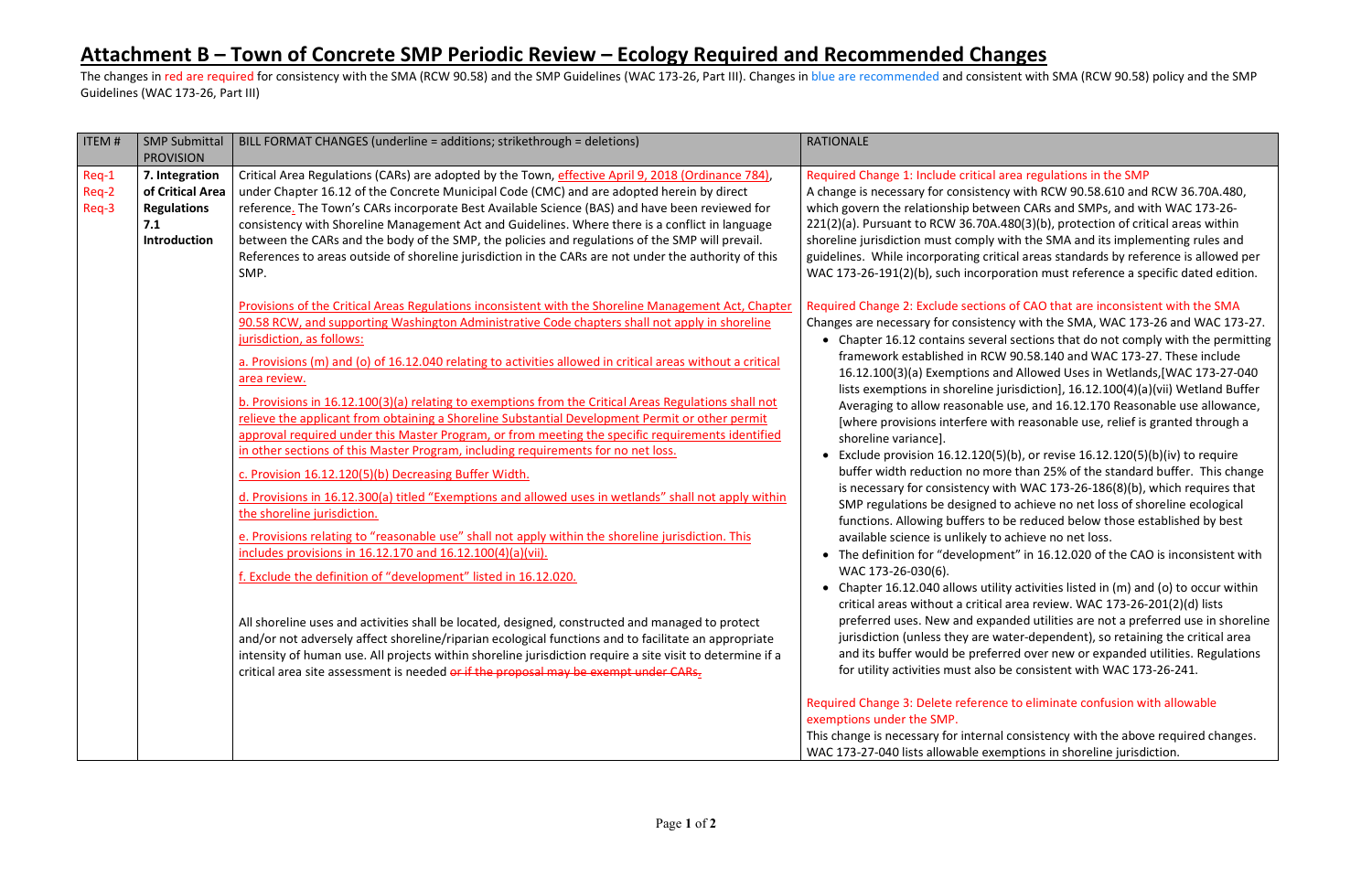## **Attachment B – Town of Concrete SMP Periodic Review – Ecology Required and Recommended Changes**

The changes in red are required for consistency with the SMA (RCW 90.58) and the SMP Guidelines (WAC 173-26, Part III). Changes in blue are recommended and consistent with SMA (RCW 90.58) policy and the SMP Guidelines (WAC 173-26, Part III)

#### rea regulations in the SMP

with RCW 90.58.610 and RCW 36.70A.480, en CARs and SMPs, and with WAC 173-26-80(3)(b), protection of critical areas within ith the SMA and its implementing rules and cal areas standards by reference is allowed per ration must reference a specific dated edition.

#### of CAO that are inconsistent with the SMA

 $cy$  with the SMA, WAC 173-26 and WAC 173-27. sections that do not comply with the permitting 90.58.140 and WAC 173-27. These include d Allowed Uses in Wetlands,[WAC 173-27-040 risdiction], 16.12.100(4)(a)(vii) Wetland Buffer use, and 16.12.170 Reasonable use allowance, ch reasonable use, relief is granted through a

(b), or revise  $16.12.120(5)(b)(iv)$  to require e than 25% of the standard buffer. This change th WAC 173-26-186(8)(b), which requires that achieve no net loss of shoreline ecological e reduced below those established by best achieve no net loss.

It" in 16.12.020 of the CAO is inconsistent with

 $\alpha$  activities listed in (m) and (o) to occur within  $area$  review. WAC 173-26-201(2)(d) lists ded utilities are not a preferred use in shoreline ater-dependent), so retaining the critical area ed over new or expanded utilities. Regulations e consistent with WAC 173-26-241.

#### to eliminate confusion with allowable

consistency with the above required changes. nptions in shoreline jurisdiction.

| <b>ITEM#</b>            | <b>SMP Submittal</b>                                                                                       | BILL FORMAT CHANGES (underline = additions; strikethrough = deletions)                                                                                                                                                                                                                                                                                                                                                                                                                                                                                                                                                                                                                                                                                                                                                                                                                                                                                                                                                                                                                                                                                                                                                                                                                                                                                                                                                                                                                                                                                                                                                                                                                                                                                                                                                                      | <b>RATIONALE</b>                                                                                                                                                                                                                                                                                                                                                                                                                                                                                                                                                                                                                                                                                                                                                                                                                                                                                                                                                                  |
|-------------------------|------------------------------------------------------------------------------------------------------------|---------------------------------------------------------------------------------------------------------------------------------------------------------------------------------------------------------------------------------------------------------------------------------------------------------------------------------------------------------------------------------------------------------------------------------------------------------------------------------------------------------------------------------------------------------------------------------------------------------------------------------------------------------------------------------------------------------------------------------------------------------------------------------------------------------------------------------------------------------------------------------------------------------------------------------------------------------------------------------------------------------------------------------------------------------------------------------------------------------------------------------------------------------------------------------------------------------------------------------------------------------------------------------------------------------------------------------------------------------------------------------------------------------------------------------------------------------------------------------------------------------------------------------------------------------------------------------------------------------------------------------------------------------------------------------------------------------------------------------------------------------------------------------------------------------------------------------------------|-----------------------------------------------------------------------------------------------------------------------------------------------------------------------------------------------------------------------------------------------------------------------------------------------------------------------------------------------------------------------------------------------------------------------------------------------------------------------------------------------------------------------------------------------------------------------------------------------------------------------------------------------------------------------------------------------------------------------------------------------------------------------------------------------------------------------------------------------------------------------------------------------------------------------------------------------------------------------------------|
| Req-1<br>Req-2<br>Req-3 | <b>PROVISION</b><br>7. Integration<br>of Critical Area<br><b>Regulations</b><br>7.1<br><b>Introduction</b> | Critical Area Regulations (CARs) are adopted by the Town, effective April 9, 2018 (Ordinance 784),<br>under Chapter 16.12 of the Concrete Municipal Code (CMC) and are adopted herein by direct<br>reference. The Town's CARs incorporate Best Available Science (BAS) and have been reviewed for<br>consistency with Shoreline Management Act and Guidelines. Where there is a conflict in language<br>between the CARs and the body of the SMP, the policies and regulations of the SMP will prevail.<br>References to areas outside of shoreline jurisdiction in the CARs are not under the authority of this<br>SMP.<br>Provisions of the Critical Areas Regulations inconsistent with the Shoreline Management Act, Chapter<br>90.58 RCW, and supporting Washington Administrative Code chapters shall not apply in shoreline<br>jurisdiction, as follows:<br>a. Provisions (m) and (o) of 16.12.040 relating to activities allowed in critical areas without a critical<br>area review.<br>b. Provisions in 16.12.100(3)(a) relating to exemptions from the Critical Areas Regulations shall not<br>relieve the applicant from obtaining a Shoreline Substantial Development Permit or other permit<br>approval required under this Master Program, or from meeting the specific requirements identified<br>in other sections of this Master Program, including requirements for no net loss.<br>c. Provision 16.12.120(5)(b) Decreasing Buffer Width.<br>d. Provisions in 16.12.300(a) titled "Exemptions and allowed uses in wetlands" shall not apply within<br>the shoreline jurisdiction.<br>e. Provisions relating to "reasonable use" shall not apply within the shoreline jurisdiction. This<br>includes provisions in 16.12.170 and 16.12.100(4)(a)(vii).<br>f. Exclude the definition of "development" listed in 16.12.020. | Required Change 1: Include critical ar<br>A change is necessary for consistency<br>which govern the relationship betwee<br>221(2)(a). Pursuant to RCW 36.70A.4<br>shoreline jurisdiction must comply wi<br>guidelines. While incorporating critic<br>WAC 173-26-191(2)(b), such incorpor<br><b>Required Change 2: Exclude sections</b><br>Changes are necessary for consistenc<br>• Chapter 16.12 contains several<br>framework established in RCW<br>16.12.100(3)(a) Exemptions and<br>lists exemptions in shoreline jui<br>Averaging to allow reasonable<br>[where provisions interfere wit]<br>shoreline variance].<br>Exclude provision 16.12.120(5)<br>buffer width reduction no more<br>is necessary for consistency wit<br>SMP regulations be designed to<br>functions. Allowing buffers to b<br>available science is unlikely to a<br>• The definition for "developmen<br>WAC 173-26-030(6).<br>• Chapter 16.12.040 allows utility<br>critical areas without a critical a |
|                         |                                                                                                            | All shoreline uses and activities shall be located, designed, constructed and managed to protect<br>and/or not adversely affect shoreline/riparian ecological functions and to facilitate an appropriate<br>intensity of human use. All projects within shoreline jurisdiction require a site visit to determine if a<br>critical area site assessment is needed or if the proposal may be exempt under CARs.                                                                                                                                                                                                                                                                                                                                                                                                                                                                                                                                                                                                                                                                                                                                                                                                                                                                                                                                                                                                                                                                                                                                                                                                                                                                                                                                                                                                                               | preferred uses. New and expan<br>jurisdiction (unless they are wa<br>and its buffer would be preferr<br>for utility activities must also be                                                                                                                                                                                                                                                                                                                                                                                                                                                                                                                                                                                                                                                                                                                                                                                                                                       |
|                         |                                                                                                            |                                                                                                                                                                                                                                                                                                                                                                                                                                                                                                                                                                                                                                                                                                                                                                                                                                                                                                                                                                                                                                                                                                                                                                                                                                                                                                                                                                                                                                                                                                                                                                                                                                                                                                                                                                                                                                             | Required Change 3: Delete reference<br>exemptions under the SMP.<br>This change is necessary for internal o<br>WAC 173-27-040 lists allowable exem                                                                                                                                                                                                                                                                                                                                                                                                                                                                                                                                                                                                                                                                                                                                                                                                                                |